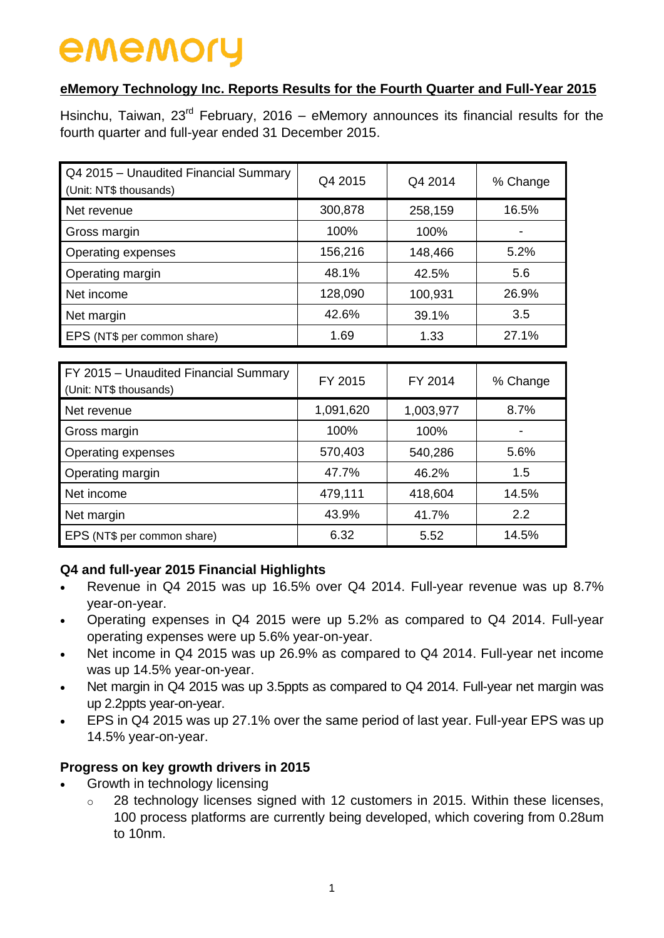# **eMemory Technology Inc. Reports Results for the Fourth Quarter and Full-Year 2015**

Hsinchu, Taiwan,  $23<sup>rd</sup>$  February, 2016 – eMemory announces its financial results for the fourth quarter and full-year ended 31 December 2015.

| Q4 2015 - Unaudited Financial Summary<br>(Unit: NT\$ thousands) | Q4 2015 | Q4 2014 | % Change |
|-----------------------------------------------------------------|---------|---------|----------|
| Net revenue                                                     | 300,878 | 258,159 | 16.5%    |
| Gross margin                                                    | 100%    | 100%    |          |
| Operating expenses                                              | 156,216 | 148,466 | 5.2%     |
| Operating margin                                                | 48.1%   | 42.5%   | 5.6      |
| Net income                                                      | 128,090 | 100,931 | 26.9%    |
| Net margin                                                      | 42.6%   | 39.1%   | 3.5      |
| EPS (NT\$ per common share)                                     | 1.69    | 1.33    | 27.1%    |

| FY 2015 - Unaudited Financial Summary<br>(Unit: NT\$ thousands) | FY 2015   | FY 2014   | % Change |
|-----------------------------------------------------------------|-----------|-----------|----------|
| Net revenue                                                     | 1,091,620 | 1,003,977 | 8.7%     |
| Gross margin                                                    | 100%      | 100%      |          |
| Operating expenses                                              | 570,403   | 540,286   | 5.6%     |
| Operating margin                                                | 47.7%     | 46.2%     | 1.5      |
| Net income                                                      | 479,111   | 418,604   | 14.5%    |
| Net margin                                                      | 43.9%     | 41.7%     | 2.2      |
| EPS (NT\$ per common share)                                     | 6.32      | 5.52      | 14.5%    |

# **Q4 and full-year 2015 Financial Highlights**

- Revenue in Q4 2015 was up 16.5% over Q4 2014. Full-year revenue was up 8.7% year-on-year.
- Operating expenses in Q4 2015 were up 5.2% as compared to Q4 2014. Full-year operating expenses were up 5.6% year-on-year.
- Net income in Q4 2015 was up 26.9% as compared to Q4 2014. Full-year net income was up 14.5% year-on-year.
- Net margin in Q4 2015 was up 3.5ppts as compared to Q4 2014. Full-year net margin was up 2.2ppts year-on-year.
- EPS in Q4 2015 was up 27.1% over the same period of last year. Full-year EPS was up 14.5% year-on-year.

# **Progress on key growth drivers in 2015**

- Growth in technology licensing
	- $\circ$  28 technology licenses signed with 12 customers in 2015. Within these licenses, 100 process platforms are currently being developed, which covering from 0.28um to 10nm.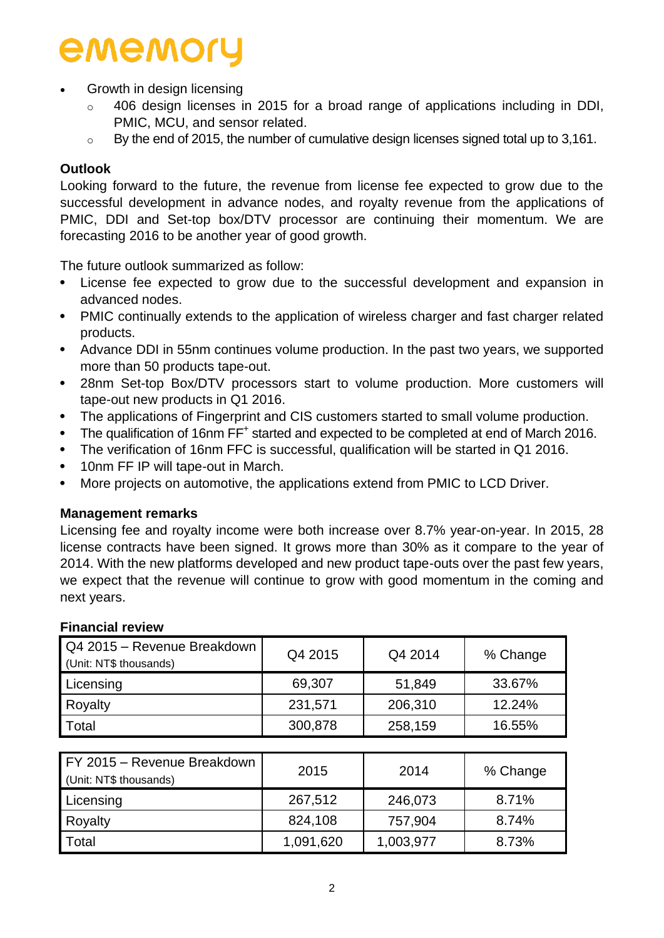- Growth in design licensing
	- 406 design licenses in 2015 for a broad range of applications including in DDI, PMIC, MCU, and sensor related.
	- o By the end of 2015, the number of cumulative design licenses signed total up to 3,161.

# **Outlook**

Looking forward to the future, the revenue from license fee expected to grow due to the successful development in advance nodes, and royalty revenue from the applications of PMIC, DDI and Set-top box/DTV processor are continuing their momentum. We are forecasting 2016 to be another year of good growth.

The future outlook summarized as follow:

- License fee expected to grow due to the successful development and expansion in advanced nodes.
- PMIC continually extends to the application of wireless charger and fast charger related products.
- Advance DDI in 55nm continues volume production. In the past two years, we supported more than 50 products tape-out.
- 28nm Set-top Box/DTV processors start to volume production. More customers will tape-out new products in Q1 2016.
- The applications of Fingerprint and CIS customers started to small volume production.
- The qualification of 16nm FF<sup>+</sup> started and expected to be completed at end of March 2016.
- The verification of 16nm FFC is successful, qualification will be started in Q1 2016.
- 10nm FF IP will tape-out in March.
- More projects on automotive, the applications extend from PMIC to LCD Driver.

### **Management remarks**

Licensing fee and royalty income were both increase over 8.7% year-on-year. In 2015, 28 license contracts have been signed. It grows more than 30% as it compare to the year of 2014. With the new platforms developed and new product tape-outs over the past few years, we expect that the revenue will continue to grow with good momentum in the coming and next years.

| Q4 2015 - Revenue Breakdown<br>(Unit: NT\$ thousands) | Q4 2015   | Q4 2014   | % Change |
|-------------------------------------------------------|-----------|-----------|----------|
| Licensing                                             | 69,307    | 51,849    | 33.67%   |
| Royalty                                               | 231,571   | 206,310   | 12.24%   |
| Total                                                 | 300,878   | 258,159   | 16.55%   |
|                                                       |           |           |          |
| FY 2015 - Revenue Breakdown<br>(Unit: NT\$ thousands) | 2015      | 2014      | % Change |
| Licensing                                             | 267,512   | 246,073   | 8.71%    |
| Royalty                                               | 824,108   | 757,904   | 8.74%    |
| Total                                                 | 1,091,620 | 1,003,977 | 8.73%    |

### **Financial review**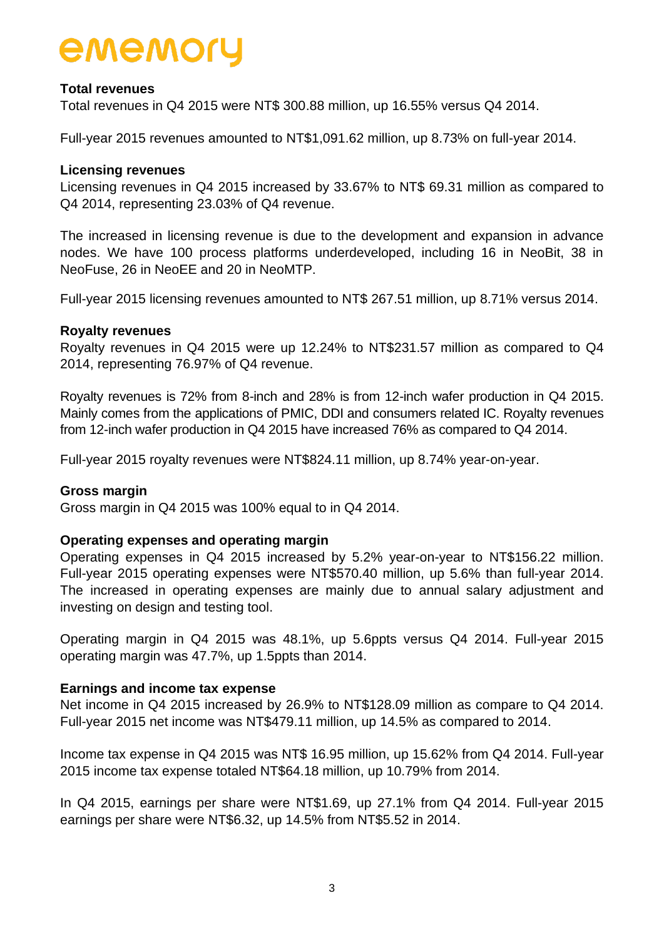## **Total revenues**

Total revenues in Q4 2015 were NT\$ 300.88 million, up 16.55% versus Q4 2014.

Full-year 2015 revenues amounted to NT\$1,091.62 million, up 8.73% on full-year 2014.

#### **Licensing revenues**

Licensing revenues in Q4 2015 increased by 33.67% to NT\$ 69.31 million as compared to Q4 2014, representing 23.03% of Q4 revenue.

The increased in licensing revenue is due to the development and expansion in advance nodes. We have 100 process platforms underdeveloped, including 16 in NeoBit, 38 in NeoFuse, 26 in NeoEE and 20 in NeoMTP.

Full-year 2015 licensing revenues amounted to NT\$ 267.51 million, up 8.71% versus 2014.

#### **Royalty revenues**

Royalty revenues in Q4 2015 were up 12.24% to NT\$231.57 million as compared to Q4 2014, representing 76.97% of Q4 revenue.

Royalty revenues is 72% from 8-inch and 28% is from 12-inch wafer production in Q4 2015. Mainly comes from the applications of PMIC, DDI and consumers related IC. Royalty revenues from 12-inch wafer production in Q4 2015 have increased 76% as compared to Q4 2014.

Full-year 2015 royalty revenues were NT\$824.11 million, up 8.74% year-on-year.

#### **Gross margin**

Gross margin in Q4 2015 was 100% equal to in Q4 2014.

### **Operating expenses and operating margin**

Operating expenses in Q4 2015 increased by 5.2% year-on-year to NT\$156.22 million. Full-year 2015 operating expenses were NT\$570.40 million, up 5.6% than full-year 2014. The increased in operating expenses are mainly due to annual salary adjustment and investing on design and testing tool.

Operating margin in Q4 2015 was 48.1%, up 5.6ppts versus Q4 2014. Full-year 2015 operating margin was 47.7%, up 1.5ppts than 2014.

### **Earnings and income tax expense**

Net income in Q4 2015 increased by 26.9% to NT\$128.09 million as compare to Q4 2014. Full-year 2015 net income was NT\$479.11 million, up 14.5% as compared to 2014.

Income tax expense in Q4 2015 was NT\$ 16.95 million, up 15.62% from Q4 2014. Full-year 2015 income tax expense totaled NT\$64.18 million, up 10.79% from 2014.

In Q4 2015, earnings per share were NT\$1.69, up 27.1% from Q4 2014. Full-year 2015 earnings per share were NT\$6.32, up 14.5% from NT\$5.52 in 2014.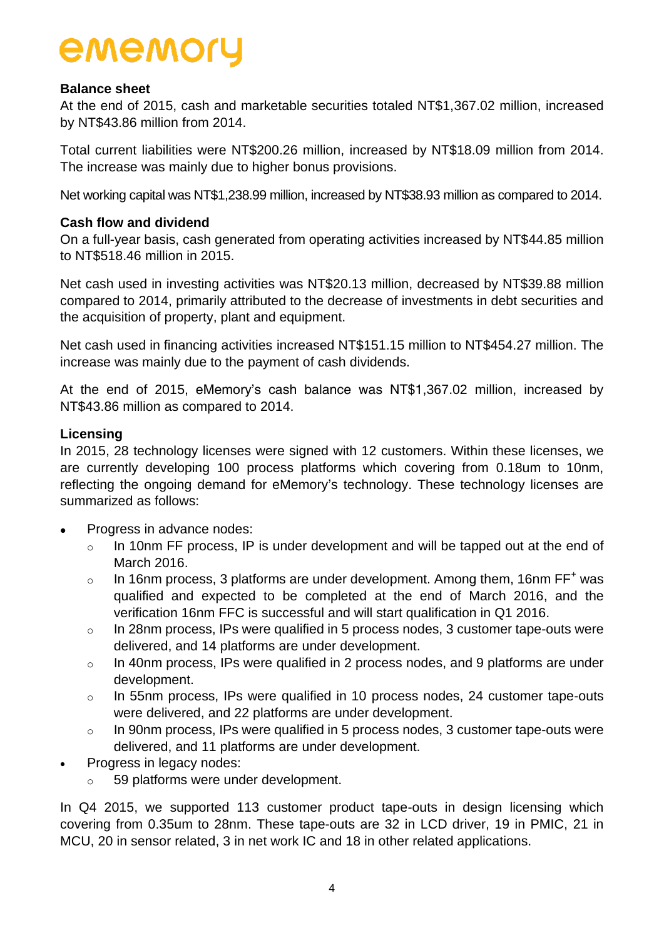## **Balance sheet**

At the end of 2015, cash and marketable securities totaled NT\$1,367.02 million, increased by NT\$43.86 million from 2014.

Total current liabilities were NT\$200.26 million, increased by NT\$18.09 million from 2014. The increase was mainly due to higher bonus provisions.

Net working capital was NT\$1,238.99 million, increased by NT\$38.93 million as compared to 2014.

### **Cash flow and dividend**

On a full-year basis, cash generated from operating activities increased by NT\$44.85 million to NT\$518.46 million in 2015.

Net cash used in investing activities was NT\$20.13 million, decreased by NT\$39.88 million compared to 2014, primarily attributed to the decrease of investments in debt securities and the acquisition of property, plant and equipment.

Net cash used in financing activities increased NT\$151.15 million to NT\$454.27 million. The increase was mainly due to the payment of cash dividends.

At the end of 2015, eMemory's cash balance was NT\$1,367.02 million, increased by NT\$43.86 million as compared to 2014.

### **Licensing**

In 2015, 28 technology licenses were signed with 12 customers. Within these licenses, we are currently developing 100 process platforms which covering from 0.18um to 10nm, reflecting the ongoing demand for eMemory's technology. These technology licenses are summarized as follows:

- Progress in advance nodes:
	- $\circ$  In 10nm FF process, IP is under development and will be tapped out at the end of March 2016.
	- o In 16nm process, 3 platforms are under development. Among them, 16nm  $FF^+$  was qualified and expected to be completed at the end of March 2016, and the verification 16nm FFC is successful and will start qualification in Q1 2016.
	- o In 28nm process, IPs were qualified in 5 process nodes, 3 customer tape-outs were delivered, and 14 platforms are under development.
	- o In 40nm process, IPs were qualified in 2 process nodes, and 9 platforms are under development.
	- o In 55nm process, IPs were qualified in 10 process nodes, 24 customer tape-outs were delivered, and 22 platforms are under development.
	- o In 90nm process, IPs were qualified in 5 process nodes, 3 customer tape-outs were delivered, and 11 platforms are under development.
- Progress in legacy nodes:
	- o 59 platforms were under development.

In Q4 2015, we supported 113 customer product tape-outs in design licensing which covering from 0.35um to 28nm. These tape-outs are 32 in LCD driver, 19 in PMIC, 21 in MCU, 20 in sensor related, 3 in net work IC and 18 in other related applications.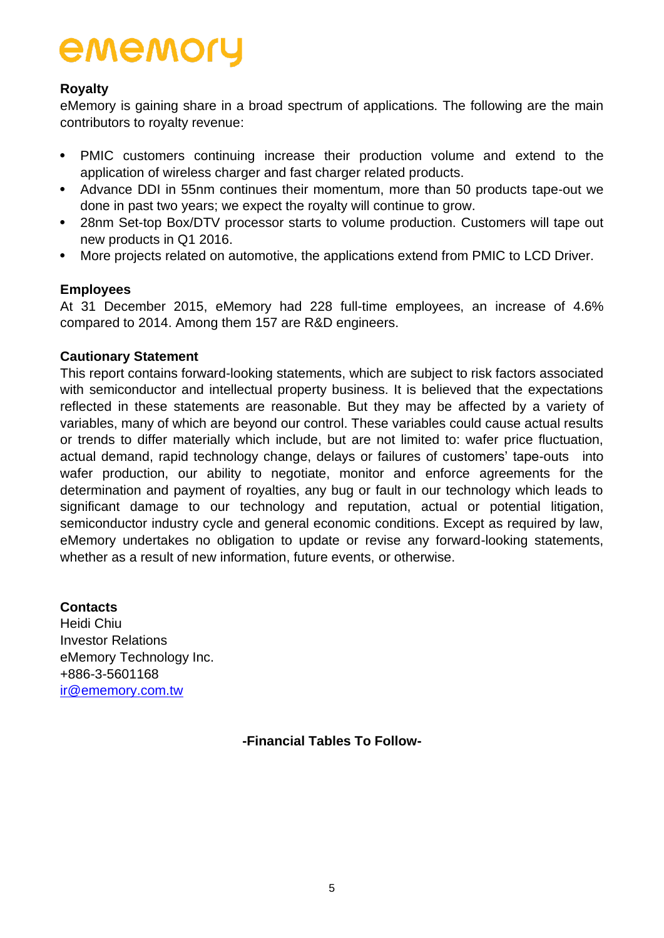## **Royalty**

eMemory is gaining share in a broad spectrum of applications. The following are the main contributors to royalty revenue:

- PMIC customers continuing increase their production volume and extend to the application of wireless charger and fast charger related products.
- Advance DDI in 55nm continues their momentum, more than 50 products tape-out we done in past two years; we expect the royalty will continue to grow.
- 28nm Set-top Box/DTV processor starts to volume production. Customers will tape out new products in Q1 2016.
- More projects related on automotive, the applications extend from PMIC to LCD Driver.

## **Employees**

At 31 December 2015, eMemory had 228 full-time employees, an increase of 4.6% compared to 2014. Among them 157 are R&D engineers.

## **Cautionary Statement**

This report contains forward-looking statements, which are subject to risk factors associated with semiconductor and intellectual property business. It is believed that the expectations reflected in these statements are reasonable. But they may be affected by a variety of variables, many of which are beyond our control. These variables could cause actual results or trends to differ materially which include, but are not limited to: wafer price fluctuation, actual demand, rapid technology change, delays or failures of customers' tape-outs into wafer production, our ability to negotiate, monitor and enforce agreements for the determination and payment of royalties, any bug or fault in our technology which leads to significant damage to our technology and reputation, actual or potential litigation, semiconductor industry cycle and general economic conditions. Except as required by law, eMemory undertakes no obligation to update or revise any forward-looking statements, whether as a result of new information, future events, or otherwise.

## **Contacts**

Heidi Chiu Investor Relations eMemory Technology Inc. +886-3-5601168 [ir@ememory.com.tw](mailto:ir@ememory.com.tw)

**-Financial Tables To Follow-**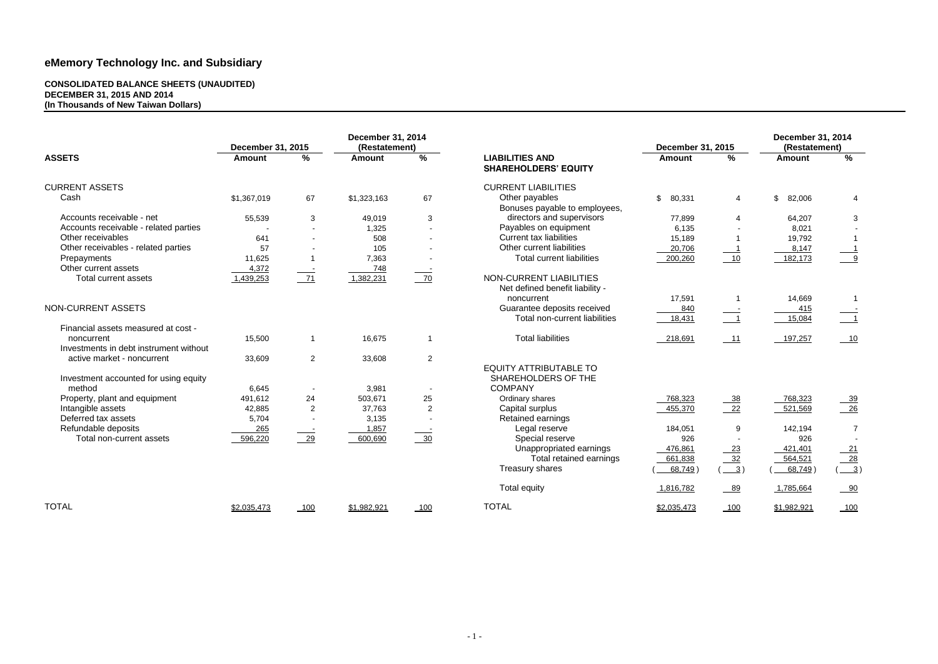#### **CONSOLIDATED BALANCE SHEETS (UNAUDITED) DECEMBER 31, 2015 AND 2014 (In Thousands of New Taiwan Dollars)**

|                                        | December 31, 2015 |                | <b>December 31, 2014</b><br>(Restatement) |                |                                                            | <b>December 31, 2015</b> |                                  | <b>December 31, 2014</b><br>(Restatement) |                           |
|----------------------------------------|-------------------|----------------|-------------------------------------------|----------------|------------------------------------------------------------|--------------------------|----------------------------------|-------------------------------------------|---------------------------|
| <b>ASSETS</b>                          | <b>Amount</b>     | $\frac{9}{6}$  | <b>Amount</b>                             | %              | <b>LIABILITIES AND</b><br><b>SHAREHOLDERS' EQUITY</b>      | <b>Amount</b>            | %                                | <b>Amount</b>                             | %                         |
| <b>CURRENT ASSETS</b>                  |                   |                |                                           |                | <b>CURRENT LIABILITIES</b>                                 |                          |                                  |                                           |                           |
| Cash                                   | \$1,367,019       | 67             | \$1,323,163                               | 67             | Other payables<br>Bonuses payable to employees,            | $\mathfrak{S}$<br>80,331 | 4                                | $\mathfrak{S}$<br>82,006                  | $\overline{4}$            |
| Accounts receivable - net              | 55,539            | $\mathbf{3}$   | 49,019                                    | 3              | directors and supervisors                                  | 77,899                   | $\overline{4}$                   | 64,207                                    | 3                         |
| Accounts receivable - related parties  |                   |                | 1,325                                     | $\blacksquare$ | Payables on equipment                                      | 6,135                    |                                  | 8,021                                     |                           |
| Other receivables                      | 641               | $\sim$         | 508                                       | $\sim$         | <b>Current tax liabilities</b>                             | 15,189                   |                                  | 19,792                                    |                           |
| Other receivables - related parties    | 57                |                | 105                                       | $\blacksquare$ | Other current liabilities                                  | 20,706                   |                                  | 8,147                                     |                           |
| Prepayments                            | 11,625            |                | 7,363                                     |                | <b>Total current liabilities</b>                           | 200,260                  | 10                               | 182,173                                   | $\overline{9}$            |
| Other current assets                   | 4,372             |                | 748                                       |                |                                                            |                          |                                  |                                           |                           |
| <b>Total current assets</b>            | 1,439,253         | 71             | 1,382,231                                 | 70             | NON-CURRENT LIABILITIES<br>Net defined benefit liability - |                          |                                  |                                           |                           |
|                                        |                   |                |                                           |                | noncurrent                                                 | 17,591                   |                                  | 14,669                                    |                           |
| NON-CURRENT ASSETS                     |                   |                |                                           |                | Guarantee deposits received                                | 840                      |                                  | 415                                       |                           |
|                                        |                   |                |                                           |                | Total non-current liabilities                              | 18,431                   | $\frac{1}{\sqrt{1-\frac{1}{2}}}$ | 15,084                                    | $\overline{\phantom{0}1}$ |
| Financial assets measured at cost -    |                   |                |                                           |                |                                                            |                          |                                  |                                           |                           |
| noncurrent                             | 15,500            | $\mathbf 1$    | 16,675                                    | $\overline{1}$ | <b>Total liabilities</b>                                   | 218,691                  | $-11$                            | 197,257                                   | $-10$                     |
| Investments in debt instrument without |                   |                |                                           |                |                                                            |                          |                                  |                                           |                           |
| active market - noncurrent             | 33,609            | $\overline{2}$ | 33,608                                    | $\overline{2}$ |                                                            |                          |                                  |                                           |                           |
|                                        |                   |                |                                           |                | <b>EQUITY ATTRIBUTABLE TO</b>                              |                          |                                  |                                           |                           |
| Investment accounted for using equity  |                   |                |                                           |                | SHAREHOLDERS OF THE                                        |                          |                                  |                                           |                           |
| method                                 | 6,645             |                | 3,981                                     |                | <b>COMPANY</b>                                             |                          |                                  |                                           |                           |
| Property, plant and equipment          | 491,612           | 24             | 503,671                                   | 25             | Ordinary shares                                            | 768,323                  | $-38$                            | 768,323                                   | <u>__39</u>               |
| Intangible assets                      | 42,885            | $\overline{2}$ | 37,763                                    | $\overline{2}$ | Capital surplus                                            | 455,370                  | $-22$                            | 521,569                                   | $\frac{26}{ }$            |
| Deferred tax assets                    | 5,704             | $\blacksquare$ | 3,135                                     |                | Retained earnings                                          |                          |                                  |                                           |                           |
| Refundable deposits                    | 265               |                | 1,857                                     |                | Legal reserve                                              | 184,051                  | 9                                | 142,194                                   | $\overline{7}$            |
| Total non-current assets               | 596,220           | $\frac{29}{2}$ | 600,690                                   | $\frac{30}{2}$ | Special reserve                                            | 926                      |                                  | 926                                       |                           |
|                                        |                   |                |                                           |                | Unappropriated earnings                                    | 476,861                  | 23                               | 421,401                                   |                           |
|                                        |                   |                |                                           |                | Total retained earnings                                    | 661,838                  | 32                               | 564,521                                   | $\frac{21}{28}$           |
|                                        |                   |                |                                           |                | Treasury shares                                            | 68,749                   | $\frac{3}{2}$                    | 68,749                                    | $\frac{3}{2}$             |
|                                        |                   |                |                                           |                | <b>Total equity</b>                                        | 1,816,782                | $-89$                            | 1,785,664                                 | $-90$                     |
| <b>TOTAL</b>                           | \$2,035,473       | 100            | \$1,982,921                               | $-100$         | <b>TOTAL</b>                                               | \$2,035,473              | 100                              | \$1,982,921                               | 100                       |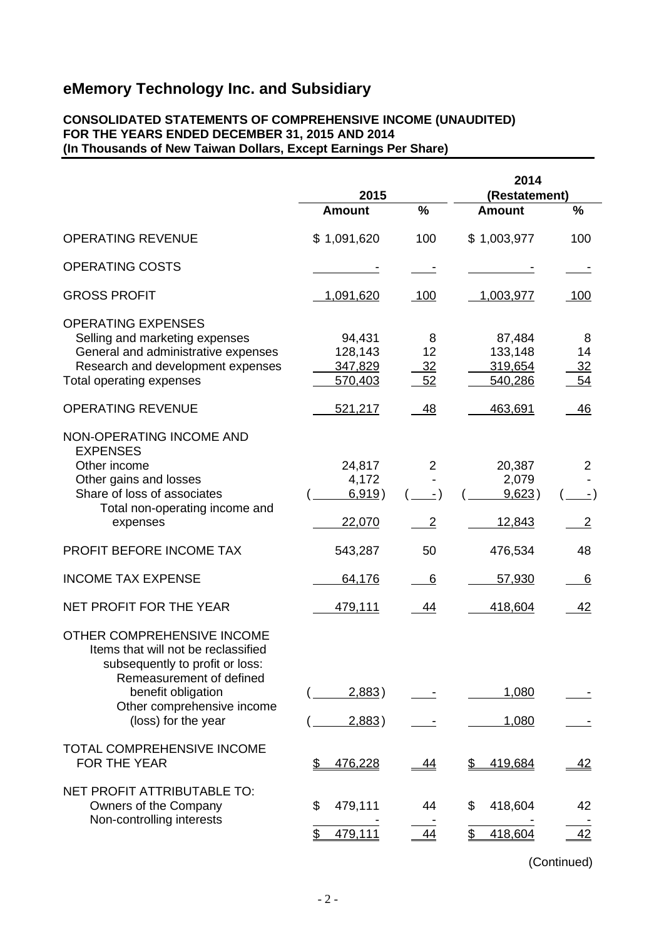### **CONSOLIDATED STATEMENTS OF COMPREHENSIVE INCOME (UNAUDITED) FOR THE YEARS ENDED DECEMBER 31, 2015 AND 2014 (In Thousands of New Taiwan Dollars, Except Earnings Per Share)**

|                                                                                                                                                                                                             | 2015                                    |                            | 2014<br>(Restatement)                   |                            |
|-------------------------------------------------------------------------------------------------------------------------------------------------------------------------------------------------------------|-----------------------------------------|----------------------------|-----------------------------------------|----------------------------|
|                                                                                                                                                                                                             | <b>Amount</b>                           | %                          | <b>Amount</b>                           | %                          |
| <b>OPERATING REVENUE</b>                                                                                                                                                                                    | \$1,091,620                             | 100                        | \$1,003,977                             | 100                        |
| <b>OPERATING COSTS</b>                                                                                                                                                                                      |                                         |                            |                                         |                            |
| <b>GROSS PROFIT</b>                                                                                                                                                                                         | 1,091,620                               | 100                        | 1,003,977                               | 100                        |
| <b>OPERATING EXPENSES</b><br>Selling and marketing expenses<br>General and administrative expenses<br>Research and development expenses<br>Total operating expenses                                         | 94,431<br>128,143<br>347,829<br>570,403 | 8<br>12<br>32<br>52        | 87,484<br>133,148<br>319,654<br>540,286 | 8<br>14<br>32<br>54        |
| <b>OPERATING REVENUE</b>                                                                                                                                                                                    | 521,217                                 | 48                         | 463,691                                 | 46                         |
| NON-OPERATING INCOME AND<br><b>EXPENSES</b><br>Other income<br>Other gains and losses<br>Share of loss of associates<br>Total non-operating income and<br>expenses                                          | 24,817<br>4,172<br>6,919)<br>22,070     | $\overline{2}$<br>- )<br>2 | 20,387<br>2,079<br>9,623)<br>12,843     | 2<br>- )<br>$\overline{2}$ |
| PROFIT BEFORE INCOME TAX                                                                                                                                                                                    | 543,287                                 | 50                         | 476,534                                 | 48                         |
| <b>INCOME TAX EXPENSE</b>                                                                                                                                                                                   | 64,176                                  | 6                          | 57,930                                  | 6                          |
| NET PROFIT FOR THE YEAR                                                                                                                                                                                     | 479,111                                 | 44                         | 418,604                                 | 42                         |
| OTHER COMPREHENSIVE INCOME<br>Items that will not be reclassified<br>subsequently to profit or loss:<br>Remeasurement of defined<br>benefit obligation<br>Other comprehensive income<br>(loss) for the year | 2,883)<br>2,883)                        |                            | 1,080<br>1,080                          |                            |
| TOTAL COMPREHENSIVE INCOME<br><b>FOR THE YEAR</b>                                                                                                                                                           | \$<br>476,228                           | <u>44</u>                  | 419,684<br>\$                           | <u>42</u>                  |
| NET PROFIT ATTRIBUTABLE TO:<br>Owners of the Company<br>Non-controlling interests                                                                                                                           | 479,111<br>\$<br>479,111<br>\$          | 44<br>44                   | 418,604<br>\$<br>418,604<br>\$          | 42<br>42                   |

(Continued)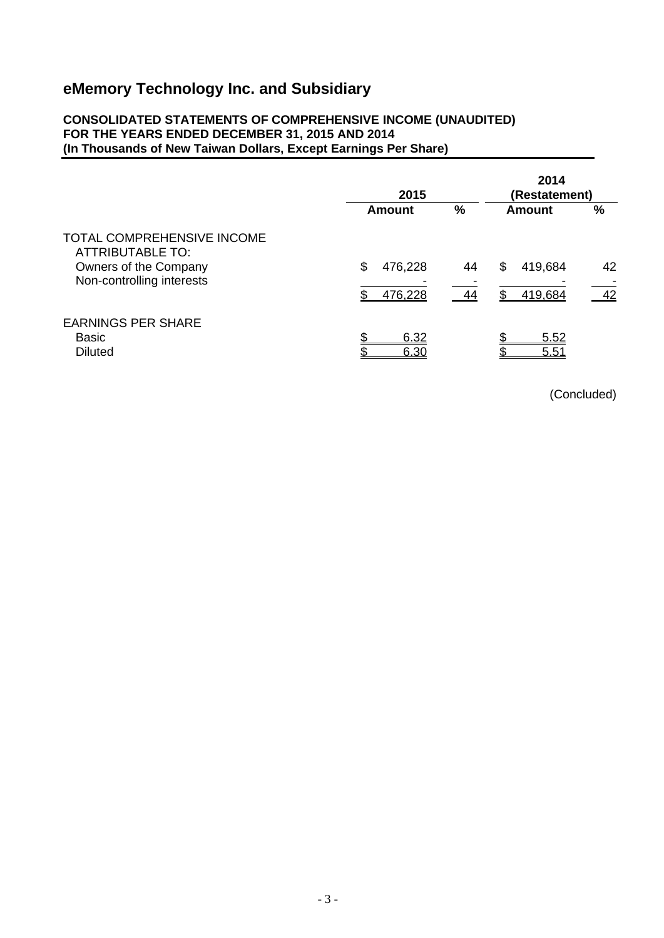### **CONSOLIDATED STATEMENTS OF COMPREHENSIVE INCOME (UNAUDITED) FOR THE YEARS ENDED DECEMBER 31, 2015 AND 2014 (In Thousands of New Taiwan Dollars, Except Earnings Per Share)**

|                                                                                                                    | 2015                          | 2014<br>(Restatement) |                          |               |
|--------------------------------------------------------------------------------------------------------------------|-------------------------------|-----------------------|--------------------------|---------------|
|                                                                                                                    | Amount                        | %                     | Amount                   | $\frac{0}{0}$ |
| <b>TOTAL COMPREHENSIVE INCOME</b><br><b>ATTRIBUTABLE TO:</b><br>Owners of the Company<br>Non-controlling interests | \$<br>476,228<br>476,228<br>ደ | 44<br>44              | 419,684<br>\$<br>419,684 | 42<br>42      |
| <b>EARNINGS PER SHARE</b><br><b>Basic</b><br><b>Diluted</b>                                                        | \$<br>6.32<br>¢<br>6.30       |                       | 5.52<br>5.51             |               |

(Concluded)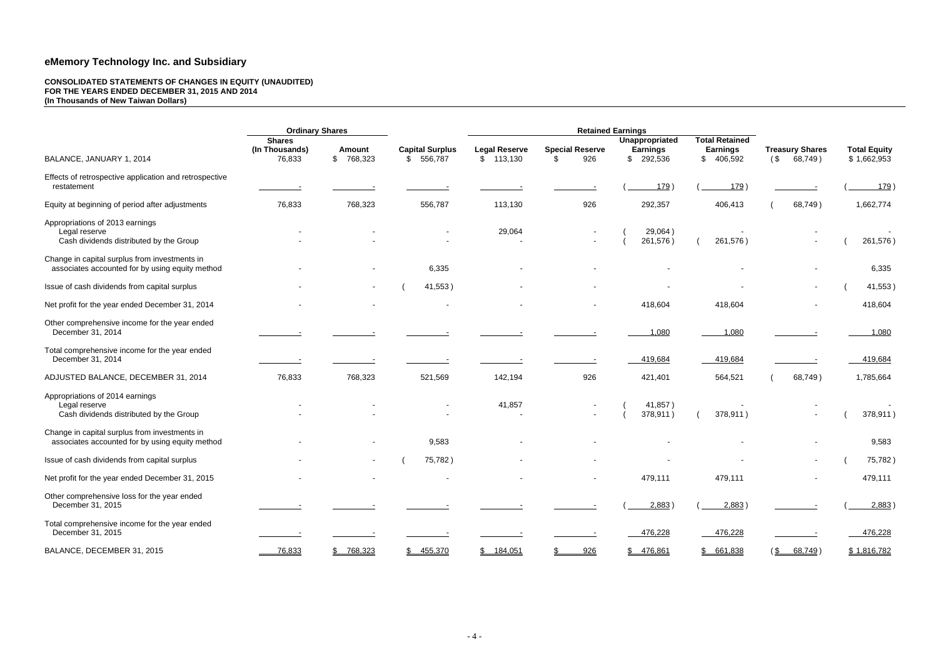#### **CONSOLIDATED STATEMENTS OF CHANGES IN EQUITY (UNAUDITED) FOR THE YEARS ENDED DECEMBER 31, 2015 AND 2014 (In Thousands of New Taiwan Dollars)**

|                                                                                                  | <b>Ordinary Shares</b>                    |                            |                                         | <b>Retained Earnings</b>          |                                     |                                                    |                                                       |                                          |                                    |
|--------------------------------------------------------------------------------------------------|-------------------------------------------|----------------------------|-----------------------------------------|-----------------------------------|-------------------------------------|----------------------------------------------------|-------------------------------------------------------|------------------------------------------|------------------------------------|
| BALANCE, JANUARY 1, 2014                                                                         | <b>Shares</b><br>(In Thousands)<br>76,833 | <b>Amount</b><br>\$768,323 | <b>Capital Surplus</b><br>556,787<br>\$ | <b>Legal Reserve</b><br>\$113,130 | <b>Special Reserve</b><br>926<br>\$ | Unappropriated<br><b>Earnings</b><br>292,536<br>\$ | <b>Total Retained</b><br><b>Earnings</b><br>\$406,592 | <b>Treasury Shares</b><br>(\$<br>68,749) | <b>Total Equity</b><br>\$1,662,953 |
| Effects of retrospective application and retrospective<br>restatement                            |                                           |                            |                                         |                                   |                                     | 179)                                               | 179)                                                  |                                          | <u>179</u>                         |
| Equity at beginning of period after adjustments                                                  | 76,833                                    | 768,323                    | 556,787                                 | 113,130                           | 926                                 | 292,357                                            | 406,413                                               | 68,749)                                  | 1,662,774                          |
| Appropriations of 2013 earnings<br>Legal reserve<br>Cash dividends distributed by the Group      |                                           |                            |                                         | 29,064                            |                                     | 29,064)<br>261,576)                                | 261,576)                                              |                                          | 261,576)                           |
| Change in capital surplus from investments in<br>associates accounted for by using equity method |                                           |                            | 6,335                                   |                                   |                                     |                                                    |                                                       |                                          | 6,335                              |
| Issue of cash dividends from capital surplus                                                     |                                           |                            | 41,553)                                 |                                   |                                     |                                                    |                                                       |                                          | 41,553)                            |
| Net profit for the year ended December 31, 2014                                                  |                                           |                            |                                         |                                   |                                     | 418,604                                            | 418,604                                               |                                          | 418,604                            |
| Other comprehensive income for the year ended<br>December 31, 2014                               |                                           |                            |                                         |                                   |                                     | 1,080                                              | 1,080                                                 |                                          | 1,080                              |
| Total comprehensive income for the year ended<br>December 31, 2014                               |                                           |                            |                                         |                                   |                                     | 419,684                                            | 419,684                                               |                                          | 419,684                            |
| ADJUSTED BALANCE, DECEMBER 31, 2014                                                              | 76,833                                    | 768,323                    | 521,569                                 | 142,194                           | 926                                 | 421,401                                            | 564,521                                               | 68,749)                                  | 1,785,664                          |
| Appropriations of 2014 earnings<br>Legal reserve<br>Cash dividends distributed by the Group      |                                           |                            |                                         | 41,857                            |                                     | 41,857)<br>378,911)                                | 378,911)                                              |                                          | 378,911)                           |
| Change in capital surplus from investments in<br>associates accounted for by using equity method |                                           |                            | 9,583                                   |                                   |                                     |                                                    |                                                       |                                          | 9,583                              |
| Issue of cash dividends from capital surplus                                                     |                                           |                            | 75,782)                                 |                                   |                                     |                                                    |                                                       |                                          | 75,782)                            |
| Net profit for the year ended December 31, 2015                                                  |                                           |                            |                                         |                                   | $\sim$                              | 479,111                                            | 479,111                                               |                                          | 479,111                            |
| Other comprehensive loss for the year ended<br>December 31, 2015                                 |                                           |                            |                                         |                                   |                                     | 2,883)                                             | 2,883)                                                |                                          | 2,883)                             |
| Total comprehensive income for the year ended<br>December 31, 2015                               |                                           |                            |                                         |                                   |                                     | 476,228                                            | 476,228                                               |                                          | 476,228                            |
| BALANCE, DECEMBER 31, 2015                                                                       | 76,833                                    | \$768,323                  | \$ 455,370                              | \$184,051                         | 926                                 | \$476,861                                          | \$661,838                                             | 68,749)<br>$$\mathbb{S}$                 | \$1,816,782                        |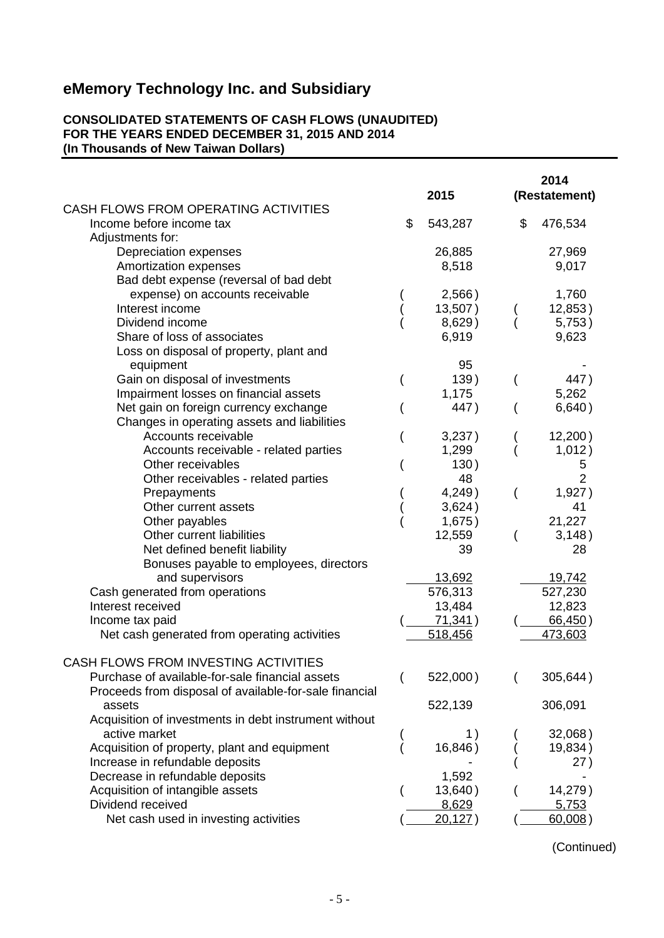### **CONSOLIDATED STATEMENTS OF CASH FLOWS (UNAUDITED) FOR THE YEARS ENDED DECEMBER 31, 2015 AND 2014 (In Thousands of New Taiwan Dollars)**

|                                                        | 2015          | 2014<br>(Restatement) |
|--------------------------------------------------------|---------------|-----------------------|
| CASH FLOWS FROM OPERATING ACTIVITIES                   |               |                       |
| Income before income tax                               | \$<br>543,287 | \$<br>476,534         |
| Adjustments for:                                       |               |                       |
| Depreciation expenses                                  | 26,885        | 27,969                |
| Amortization expenses                                  | 8,518         | 9,017                 |
| Bad debt expense (reversal of bad debt                 |               |                       |
| expense) on accounts receivable                        | 2,566)        | 1,760                 |
| Interest income                                        | 13,507)       | 12,853)               |
| Dividend income                                        | 8,629)        | 5,753)                |
| Share of loss of associates                            | 6,919         | 9,623                 |
| Loss on disposal of property, plant and                |               |                       |
| equipment                                              | 95            |                       |
| Gain on disposal of investments                        | 139)          | 447)                  |
| Impairment losses on financial assets                  | 1,175         | 5,262                 |
| Net gain on foreign currency exchange                  | 447)          | 6,640)                |
| Changes in operating assets and liabilities            |               |                       |
| Accounts receivable                                    | 3,237)        | 12,200)               |
| Accounts receivable - related parties                  | 1,299         | 1,012)                |
| Other receivables                                      | 130)          | 5                     |
| Other receivables - related parties                    | 48            | $\overline{2}$        |
| Prepayments                                            | 4,249)        | 1,927)                |
| Other current assets                                   | 3,624)        | 41                    |
| Other payables                                         | 1,675)        | 21,227                |
| Other current liabilities                              | 12,559        | 3,148)                |
| Net defined benefit liability                          | 39            | 28                    |
| Bonuses payable to employees, directors                |               |                       |
| and supervisors                                        | 13,692        | 19,742                |
| Cash generated from operations                         | 576,313       | 527,230               |
| Interest received                                      | 13,484        | 12,823                |
| Income tax paid                                        | 71,341)       | 66,450)               |
| Net cash generated from operating activities           | 518,456       | 473,603               |
|                                                        |               |                       |
| CASH FLOWS FROM INVESTING ACTIVITIES                   |               |                       |
| Purchase of available-for-sale financial assets        | 522,000)      | 305,644)              |
| Proceeds from disposal of available-for-sale financial |               |                       |
| assets                                                 | 522,139       | 306,091               |
| Acquisition of investments in debt instrument without  |               |                       |
| active market                                          | 1)            | 32,068)               |
| Acquisition of property, plant and equipment           | 16,846)       | 19,834)               |
| Increase in refundable deposits                        |               | 27)                   |
| Decrease in refundable deposits                        | 1,592         |                       |
| Acquisition of intangible assets                       | 13,640)       | 14,279)               |
| Dividend received                                      | 8,629         | 5,753                 |
| Net cash used in investing activities                  | 20,127)       | 60,008)               |

(Continued)